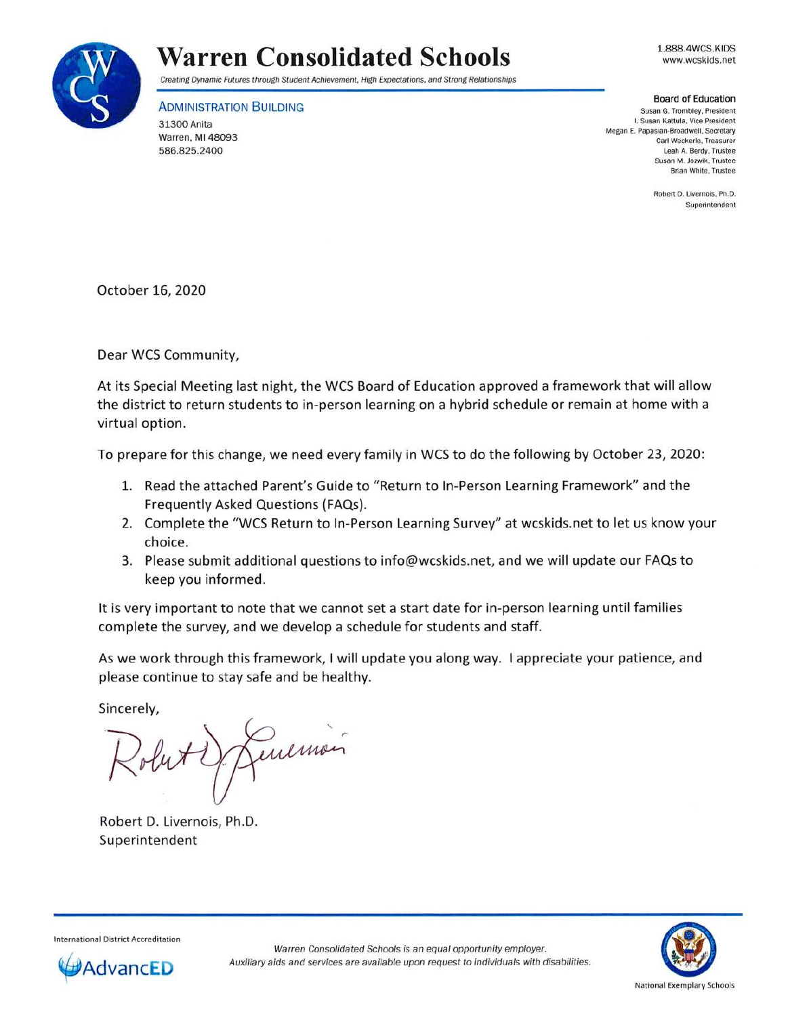## **Warren Consolidated Schools**  Creating Dynamic Futures through Student Achievement, High Expectations, and Strong Relationships

1.888.4WCS.KIDS www.wcskids.net



## **Board of Education**

**ADMINISTRATION BUILDING**  31300 Anita Warren, **Ml** 48093 586.825.2400

Susan G. Trombley, President I. Susan Kattula. Vice President Megan E. Papasian-Broadwell, Secretary Carl Weckerle. Treasurer Leah A. Berdy. Trustee Susan M. Jozwik. Trustee Brian White, Trustee

> Robert D. Livernois, Ph.D. Superintendent

October 16, 2020

Dear WCS Community,

At its Special Meeting last night, the WCS Board of Education approved a framework that will allow the district to return students to in-person learning on a hybrid schedule or remain at home with a virtual option.

To prepare for this change, we need every family in WCS to do the following by October 23, 2020:

- 1. Read the attached Parent's Guide to "Return to In-Person Learning Framework" and the Frequently Asked Questions (FAQs).
- 2. Complete the "WCS Return to In-Person Learning Survey" at wcskids.net to let us know your choice.
- 3. Please submit additional questions to info@wcskids.net, and we will update our FAQs to keep you informed.

It is very important to note that we cannot set a start date for in-person learning until families complete the survey, and we develop a schedule for students and staff.

As we work through this framework, I will update you along way. I appreciate your patience, and please continue to stay safe and be healthy.

Sincerely,

Jenemais

Robert D. Livernois, Ph.D. Superintendent



**International District Accreditation**